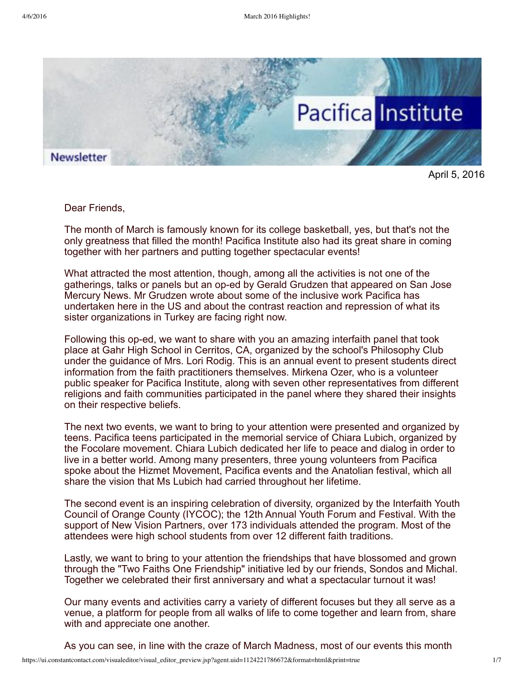

April 5, 2016

Dear Friends,

The month of March is famously known for its college basketball, yes, but that's not the only greatness that filled the month! Pacifica Institute also had its great share in coming together with her partners and putting together spectacular events!

What attracted the most attention, though, among all the activities is not one of the gatherings, talks or panels but an oped by Gerald Grudzen that appeared on San Jose Mercury News. Mr Grudzen wrote about some of the inclusive work Pacifica has undertaken here in the US and about the contrast reaction and repression of what its sister organizations in Turkey are facing right now.

Following this oped, we want to share with you an amazing interfaith panel that took place at Gahr High School in Cerritos, CA, organized by the school's Philosophy Club under the guidance of Mrs. Lori Rodig. This is an annual event to present students direct information from the faith practitioners themselves. Mirkena Ozer, who is a volunteer public speaker for Pacifica Institute, along with seven other representatives from different religions and faith communities participated in the panel where they shared their insights on their respective beliefs.

The next two events, we want to bring to your attention were presented and organized by teens. Pacifica teens participated in the memorial service of Chiara Lubich, organized by the Focolare movement. Chiara Lubich dedicated her life to peace and dialog in order to live in a better world. Among many presenters, three young volunteers from Pacifica spoke about the Hizmet Movement, Pacifica events and the Anatolian festival, which all share the vision that Ms Lubich had carried throughout her lifetime.

The second event is an inspiring celebration of diversity, organized by the Interfaith Youth Council of Orange County (IYCOC); the 12th Annual Youth Forum and Festival. With the support of New Vision Partners, over 173 individuals attended the program. Most of the attendees were high school students from over 12 different faith traditions.

Lastly, we want to bring to your attention the friendships that have blossomed and grown through the "Two Faiths One Friendship" initiative led by our friends, Sondos and Michal. Together we celebrated their first anniversary and what a spectacular turnout it was!

Our many events and activities carry a variety of different focuses but they all serve as a venue, a platform for people from all walks of life to come together and learn from, share with and appreciate one another.

As you can see, in line with the craze of March Madness, most of our events this month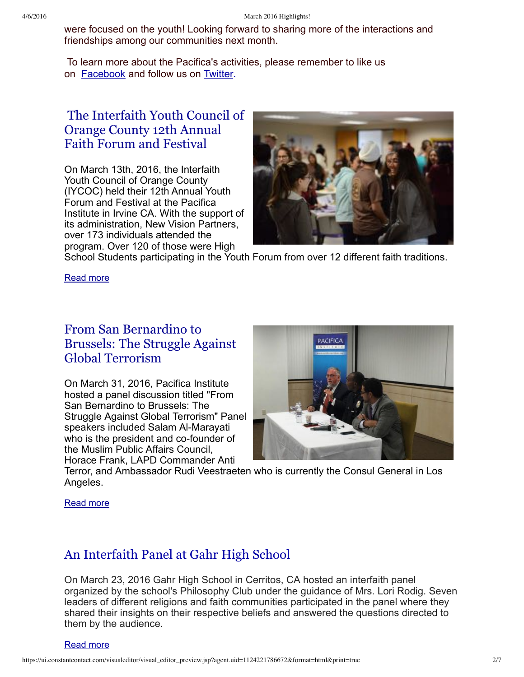were focused on the youth! Looking forward to sharing more of the interactions and friendships among our communities next month.

To learn more about the Pacifica's activities, please remember to like us on **[Facebook](https://www.facebook.com/pacificainstitute?ref=bookmarks)** and follow us on **Twitter**.

### The [Interfaith](http://pacificainstitute.org/2016/03/17/the-interfaith-youth-council-of-orange-county-12th-annual-faith-forum-and-festival/) Youth Council of Orange County 12th Annual Faith Forum and Festival

On March 13th, 2016, the Interfaith Youth Council of Orange County (IYCOC) held their 12th Annual Youth Forum and Festival at the Pacifica Institute in Irvine CA. With the support of its administration, New Vision Partners, over 173 individuals attended the program. Over 120 of those were High



School Students participating in the Youth Forum from over 12 different faith traditions.

[Read](http://pacificainstitute.org/2016/03/17/the-interfaith-youth-council-of-orange-county-12th-annual-faith-forum-and-festival/) more

## From San [Bernardino](http://pacificainstitute.org/2016/04/02/from-san-bernardino-to-brussels-the-struggle-against-global-terrorism-2/) to Brussels: The Struggle Against Global Terrorism

On March 31, 2016, Pacifica Institute hosted a panel discussion titled "From San Bernardino to Brussels: The Struggle Against Global Terrorism" Panel speakers included Salam Al-Marayati who is the president and co-founder of the Muslim Public Affairs Council, Horace Frank, LAPD Commander Anti



Terror, and Ambassador Rudi Veestraeten who is currently the Consul General in Los Angeles.

[Read](http://pacificainstitute.org/2016/04/02/from-san-bernardino-to-brussels-the-struggle-against-global-terrorism-2/) more

# An [Interfaith](http://pacificainstitute.org/2016/03/23/an-interfaith-panel-at-gahr-high-school/) Panel at Gahr High School

On March 23, 2016 Gahr High School in Cerritos, CA hosted an interfaith panel organized by the school's Philosophy Club under the guidance of Mrs. Lori Rodig. Seven leaders of different religions and faith communities participated in the panel where they shared their insights on their respective beliefs and answered the questions directed to them by the audience.

[Read](http://pacificainstitute.org/2016/03/23/an-interfaith-panel-at-gahr-high-school/) more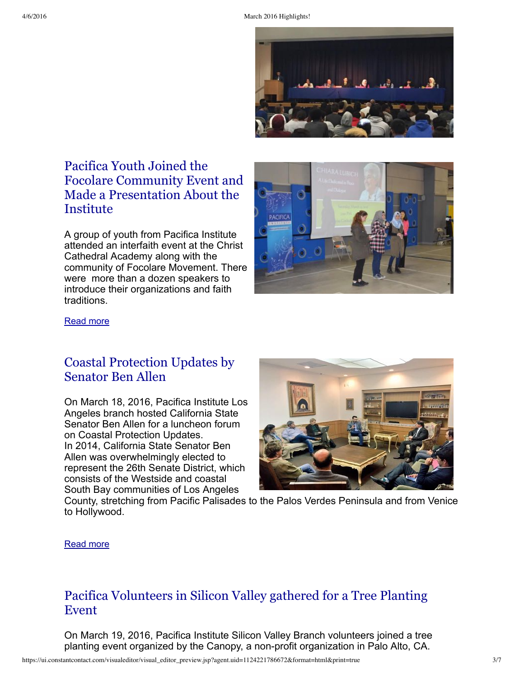

## Pacifica Youth Joined the Focolare Community Event and Made a [Presentation](http://pacificainstitute.org/2016/03/22/pacifica-youth-joined-the-focolare-community-event-and-made-a-presentation-about-the-institute/) About the Institute

A group of youth from Pacifica Institute attended an interfaith event at the Christ Cathedral Academy along with the community of Focolare Movement. There were more than a dozen speakers to introduce their organizations and faith traditions.



#### [Read](http://pacificainstitute.org/2016/03/22/pacifica-youth-joined-the-focolare-community-event-and-made-a-presentation-about-the-institute/) more

#### Coastal [Protection](http://pacificainstitute.org/2016/03/19/coastal-protection-updates-by-senator-ben-allen/) Updates by Senator Ben Allen

On March 18, 2016, Pacifica Institute Los Angeles branch hosted California State Senator Ben Allen for a luncheon forum on Coastal Protection Updates. In 2014, California State Senator Ben Allen was overwhelmingly elected to represent the 26th Senate District, which consists of the Westside and coastal South Bay communities of Los Angeles



County, stretching from Pacific Palisades to the Palos Verdes Peninsula and from Venice to Hollywood.

#### [Read](http://pacificainstitute.org/2016/03/19/coastal-protection-updates-by-senator-ben-allen/) more

#### Pacifica [Volunteers](http://pacificainstitute.org/bay-area/2016/03/16/join-pacifica-volunteers-in-silicon-valley-for-a-tree-planting-event-organized-by-canopy/) in Silicon Valley gathered for a Tree Planting Event

On March 19, 2016, Pacifica Institute Silicon Valley Branch volunteers joined a tree planting event organized by the Canopy, a non-profit organization in Palo Alto, CA.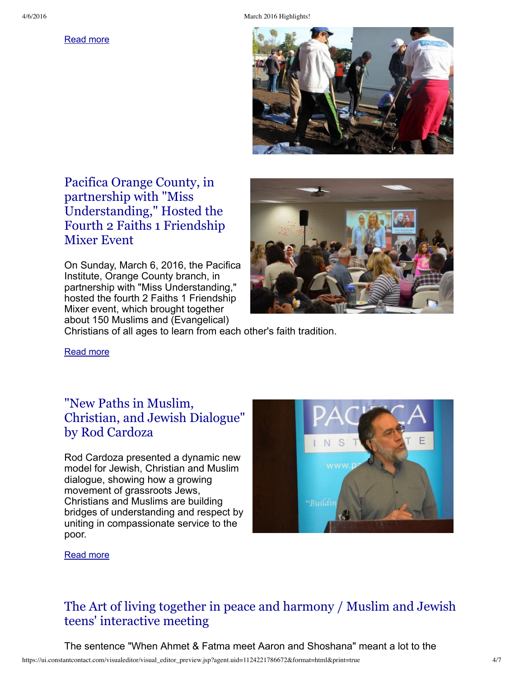[Read](http://pacificainstitute.org/bay-area/2016/03/16/join-pacifica-volunteers-in-silicon-valley-for-a-tree-planting-event-organized-by-canopy/) more



## Pacifica Orange County, in partnership with "Miss [Understanding,"](http://pacificainstitute.org/2016/03/12/pacifica-orange-county-in-partnership-with-miss-understanding-hosted-the-fourth-2-faiths-1-friendship-mixer-event/) Hosted the Fourth 2 Faiths 1 Friendship Mixer Event

On Sunday, March 6, 2016, the Pacifica Institute, Orange County branch, in partnership with "Miss Understanding," hosted the fourth 2 Faiths 1 Friendship Mixer event, which brought together about 150 Muslims and (Evangelical)



Christians of all ages to learn from each other's faith tradition.

[Read](http://pacificainstitute.org/2016/03/12/pacifica-orange-county-in-partnership-with-miss-understanding-hosted-the-fourth-2-faiths-1-friendship-mixer-event/) more

## "New Paths in Muslim, [Christian,](http://pacificainstitute.org/bay-area/2016/02/14/new-paths-in-muslim-christian-dialog-by-rod-cordoza/) and Jewish Dialogue" by Rod Cardoza

Rod Cardoza presented a dynamic new model for Jewish, Christian and Muslim dialogue, showing how a growing movement of grassroots Jews, Christians and Muslims are building bridges of understanding and respect by uniting in compassionate service to the poor.



[Read](http://pacificainstitute.org/bay-area/2016/02/14/new-paths-in-muslim-christian-dialog-by-rod-cordoza/) more

## The Art of living together in peace and harmony / Muslim and Jewish teens' [interactive](http://pacificainstitute.org/bay-area/2016/03/28/the-art-of-living-together-in-peace-and-harmony-muslim-and-jewish-teens-interactive-meeting/) meeting

The sentence "When Ahmet & Fatma meet Aaron and Shoshana" meant a lot to the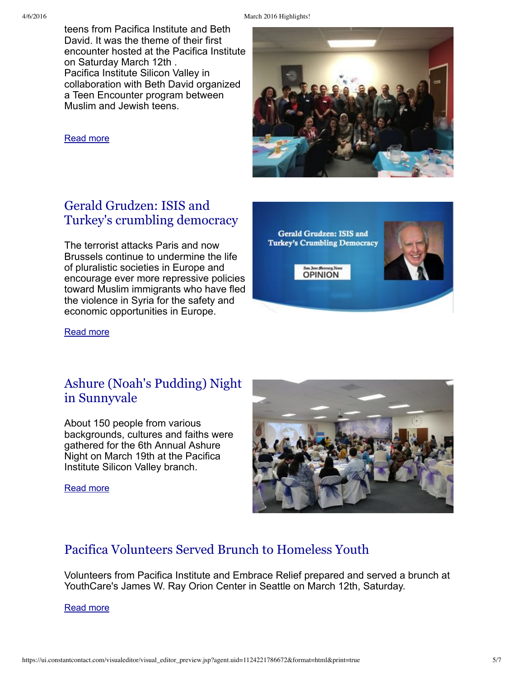4/6/2016 March 2016 Highlights!

teens from Pacifica Institute and Beth David. It was the theme of their first encounter hosted at the Pacifica Institute on Saturday March 12th . Pacifica Institute Silicon Valley in collaboration with Beth David organized a Teen Encounter program between Muslim and Jewish teens.

[Read](http://pacificainstitute.org/bay-area/2016/03/28/the-art-of-living-together-in-peace-and-harmony-muslim-and-jewish-teens-interactive-meeting/) more

#### Gerald Grudzen: ISIS and Turkey's crumbling [democracy](http://pacificainstitute.org/bay-area/2016/03/16/join-pacifica-volunteers-in-silicon-valley-for-a-tree-planting-event-organized-by-canopy/)

The terrorist attacks Paris and now Brussels continue to undermine the life of pluralistic societies in Europe and encourage ever more repressive policies toward Muslim immigrants who have fled the violence in Syria for the safety and economic opportunities in Europe.

[Read](http://pacificainstitute.org/2016/03/24/gerald-grudzen-isis-and-turkeys-crumbling-democracy/) more

#### Ashure (Noah's Pudding) Night in [Sunnyvale](http://pacificainstitute.org/bay-area/2016/02/14/ashure-noahs-pudding-night-coming-up-on-sunday-march-19-6pm-in-sunnyvale/)

About 150 people from various backgrounds, cultures and faiths were gathered for the 6th Annual Ashure Night on March 19th at the Pacifica Institute Silicon Valley branch.

[Read](http://pacificainstitute.org/bay-area/2016/02/14/ashure-noahs-pudding-night-coming-up-on-sunday-march-19-6pm-in-sunnyvale/) more



## Pacifica [Volunteers](http://pacificainstitute.org/seattle/2016/04/01/pacifica-volunteers-served-brunch-to-homeless-youth/) Served Brunch to Homeless Youth

Volunteers from Pacifica Institute and Embrace Relief prepared and served a brunch at YouthCare's James W. Ray Orion Center in Seattle on March 12th, Saturday.

[Read](http://pacificainstitute.org/seattle/2016/04/01/pacifica-volunteers-served-brunch-to-homeless-youth/) more

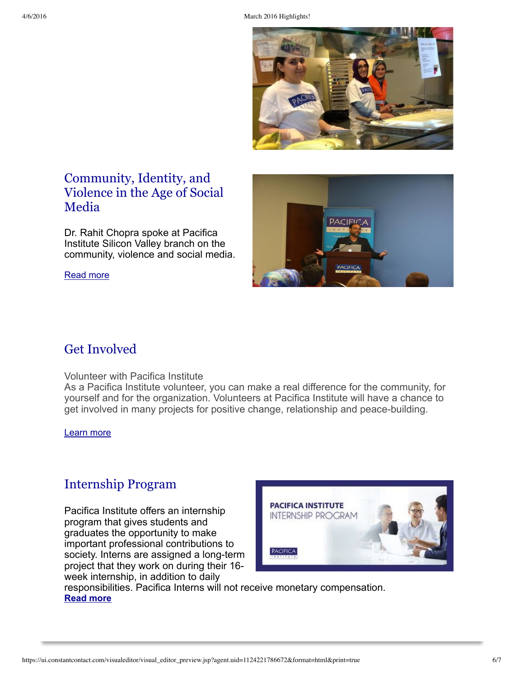

## [Community,](http://pacificainstitute.org/bay-area/2016/03/16/join-pacifica-volunteers-in-silicon-valley-for-a-tree-planting-event-organized-by-canopy/) Identity, and Violence in the Age of Social Media

Dr. Rahit Chopra spoke at Pacifica Institute Silicon Valley branch on the community, violence and social media.

[Read](http://pacificainstitute.org/bay-area/2016/02/08/community-identity-and-violence-in-the-age-of-social-media/) more



# Get Involved

Volunteer with Pacifica Institute

As a Pacifica Institute volunteer, you can make a real difference for the community, for yourself and for the organization. Volunteers at Pacifica Institute will have a chance to get involved in many projects for positive change, relationship and peace-building.

[Learn](http://pacificainstitute.org/get-involved/) more

## [Internship](http://pacificainstitute.org/pacifica-institute-internship-program-winterspring-2015/) Program

Pacifica Institute offers an internship program that gives students and graduates the opportunity to make important professional contributions to society. Interns are assigned a long-term project that they work on during their 16 week internship, in addition to daily



responsibilities. Pacifica Interns will not receive monetary compensation. **[Read](http://pacificainstitute.org/pacifica-institute-internship-program-winterspring-2015/) more**